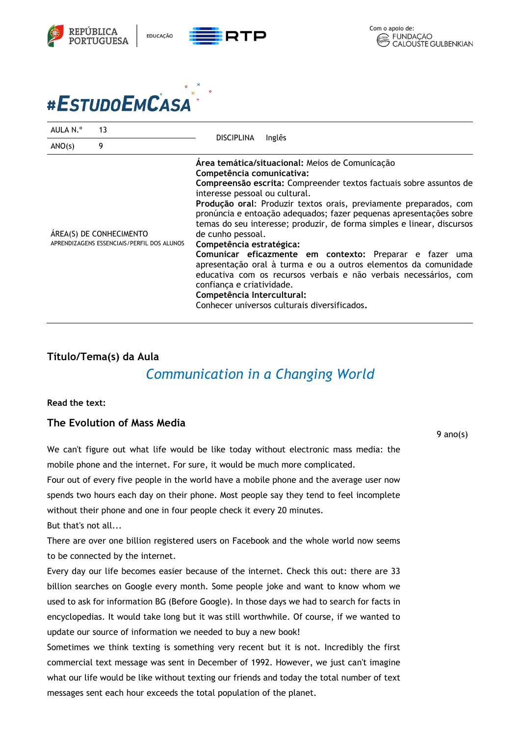

# #ESTUDOEMCASA

| AULA N.º                                                              | 13 | Inglês<br><b>DISCIPLINA</b>                                                                                                                                                                                                                                                                                                                                                                                                                                                                                                                                                                                                                                                                                                                                             |
|-----------------------------------------------------------------------|----|-------------------------------------------------------------------------------------------------------------------------------------------------------------------------------------------------------------------------------------------------------------------------------------------------------------------------------------------------------------------------------------------------------------------------------------------------------------------------------------------------------------------------------------------------------------------------------------------------------------------------------------------------------------------------------------------------------------------------------------------------------------------------|
| ANO(s)                                                                | 9  |                                                                                                                                                                                                                                                                                                                                                                                                                                                                                                                                                                                                                                                                                                                                                                         |
| ÁREA(S) DE CONHECIMENTO<br>APRENDIZAGENS ESSENCIAIS/PERFIL DOS ALUNOS |    | Área temática/situacional: Meios de Comunicação<br>Competência comunicativa:<br>Compreensão escrita: Compreender textos factuais sobre assuntos de<br>interesse pessoal ou cultural.<br>Produção oral: Produzir textos orais, previamente preparados, com<br>pronúncia e entoação adequados; fazer pequenas apresentações sobre<br>temas do seu interesse; produzir, de forma simples e linear, discursos<br>de cunho pessoal.<br>Competência estratégica:<br>Comunicar eficazmente em contexto: Preparar e fazer uma<br>apresentação oral à turma e ou a outros elementos da comunidade<br>educativa com os recursos verbais e não verbais necessários, com<br>confiança e criatividade.<br>Competência Intercultural:<br>Conhecer universos culturais diversificados. |

# **Título/Tema(s) da Aula**

# *Communication in a Changing World*

#### **Read the text:**

## **The Evolution of Mass Media**

We can't figure out what life would be like today without electronic mass media: the mobile phone and the internet. For sure, it would be much more complicated.

Four out of every five people in the world have a mobile phone and the average user now spends two hours each day on their phone. Most people say they tend to feel incomplete without their phone and one in four people check it every 20 minutes.

But that's not all...

There are over one billion registered users on Facebook and the whole world now seems to be connected by the internet.

Every day our life becomes easier because of the internet. Check this out: there are 33 billion searches on Google every month. Some people joke and want to know whom we used to ask for information BG (Before Google). In those days we had to search for facts in encyclopedias. It would take long but it was still worthwhile. Of course, if we wanted to update our source of information we needed to buy a new book!

Sometimes we think texting is something very recent but it is not. Incredibly the first commercial text message was sent in December of 1992. However, we just can't imagine what our life would be like without texting our friends and today the total number of text messages sent each hour exceeds the total population of the planet.

#### 9 ano(s)